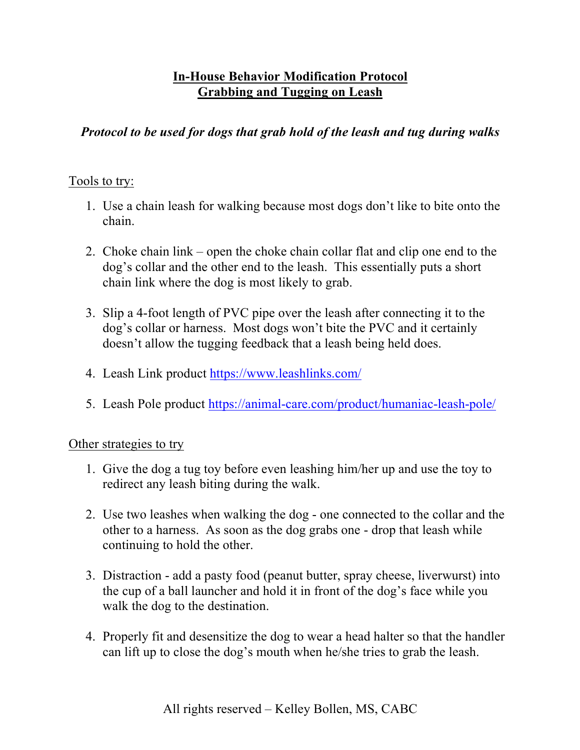## **In-House Behavior Modification Protocol Grabbing and Tugging on Leash**

## *Protocol to be used for dogs that grab hold of the leash and tug during walks*

## Tools to try:

- 1. Use a chain leash for walking because most dogs don't like to bite onto the chain.
- 2. Choke chain link open the choke chain collar flat and clip one end to the dog's collar and the other end to the leash. This essentially puts a short chain link where the dog is most likely to grab.
- 3. Slip a 4-foot length of PVC pipe over the leash after connecting it to the dog's collar or harness. Most dogs won't bite the PVC and it certainly doesn't allow the tugging feedback that a leash being held does.
- 4. Leash Link product https://www.leashlinks.com/
- 5. Leash Pole product https://animal-care.com/product/humaniac-leash-pole/

## Other strategies to try

- 1. Give the dog a tug toy before even leashing him/her up and use the toy to redirect any leash biting during the walk.
- 2. Use two leashes when walking the dog one connected to the collar and the other to a harness. As soon as the dog grabs one - drop that leash while continuing to hold the other.
- 3. Distraction add a pasty food (peanut butter, spray cheese, liverwurst) into the cup of a ball launcher and hold it in front of the dog's face while you walk the dog to the destination.
- 4. Properly fit and desensitize the dog to wear a head halter so that the handler can lift up to close the dog's mouth when he/she tries to grab the leash.